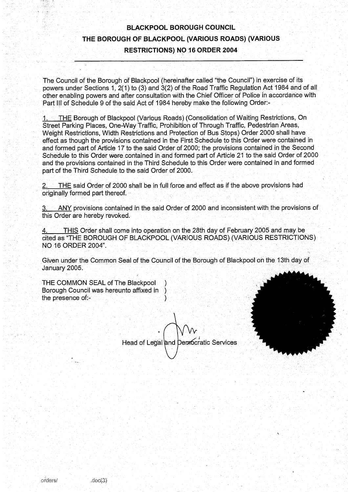# 'BLACKPOOL BOROUGH COUNCIL THE BOROUGH OF BLACKPOOL (VARIOUS ROADS) (VARIOUS RESTRICTIONS) NO <sup>16</sup> ORDER 2004

The Council of the Borough of Blackpool' (hereinafter called "the Council") in exercise of its powers under Sections 1, 2(1) to (3) and 3(2) of the Road Traffic Regulation Act 1984 and of all other enabling powers and after consultation with the Chief Officer' of Police in accordance with Part III of Schedule 9 of the said Act of 1984 hereby make the following Order:-

1. THE Borough of Blackpool (Various Roads) (Consolidation of Waiting Restrictions, On Street Parking Places, One-Way Traffic, Prohibition of Through Traffic, Pedestrian Areas, Weight Restrictions, Width Restrictions and Protection of Bus Stops) Order 2000 shall have effect as though the provisions contained in the First Schedule to this Order were contained in and formed part of Article 17 to the said Order of 2000; the provisions contained in the Second Schedule to this Order were contained in and formed part of Article 21 to the said Order of 2000 and the provisions contained in the Third Schedule to this Order were contained in and formed part of the Third Schedule to the said Order of 2000 .

THE said Order of 2000 shall be in full force and effect as if the above provisions had originally formed part thereof.

ANY provisions contained in the said Order of 2000 and inconsistent with the provisions of this Order are hereby revoked.

THIS Order shall come into operation on the 28th day of February 2005 and may be cited as "THE BOROUGH OF BLACKPOOL (VARIOUS ROADS) (VARIOUS RESTRICTIONS) NO <sup>16</sup> ORDER 2004".

Given under the Common Seal of the Council of the Borough of Blackpool on the 13th day of January 2005.

THE COMMON SEAL of The Blackpool ) Borough Council was hereunto affixed in `) the presence of:-

Head of Legal and Democratic Services